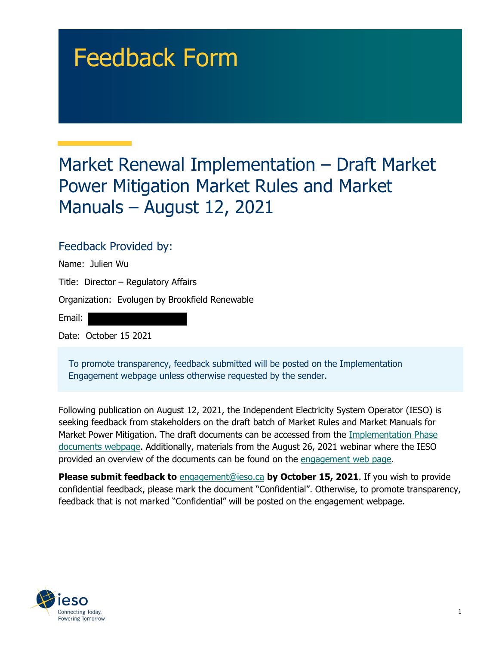# Feedback Form

## Market Renewal Implementation – Draft Market Power Mitigation Market Rules and Market Manuals – August 12, 2021

## Feedback Provided by:

| Name: Julien Wu                                |  |  |
|------------------------------------------------|--|--|
| Title: Director - Regulatory Affairs           |  |  |
| Organization: Evolugen by Brookfield Renewable |  |  |
| Email:                                         |  |  |
| Date: October 15 2021                          |  |  |
|                                                |  |  |

To promote transparency, feedback submitted will be posted on the Implementation Engagement webpage unless otherwise requested by the sender.

Following publication on August 12, 2021, the Independent Electricity System Operator (IESO) is seeking feedback from stakeholders on the draft batch of Market Rules and Market Manuals for Market Power Mitigation. The draft documents can be accessed from the [Implementation Phase](https://www.ieso.ca/en/Market-Renewal/Energy-Stream-Designs/Implementation-phase-documents)  [documents webpage.](https://www.ieso.ca/en/Market-Renewal/Energy-Stream-Designs/Implementation-phase-documents) Additionally, materials from the August 26, 2021 webinar where the IESO provided an overview of the documents can be found on the [engagement web page.](https://www.ieso.ca/en/Market-Renewal/Stakeholder-Engagements/Implementation-Engagement-Market-Rules-and-Market-Manuals)

**Please submit feedback to** [engagement@ieso.ca](mailto:engagement@ieso.ca) **by October 15, 2021**. If you wish to provide confidential feedback, please mark the document "Confidential". Otherwise, to promote transparency, feedback that is not marked "Confidential" will be posted on the engagement webpage.

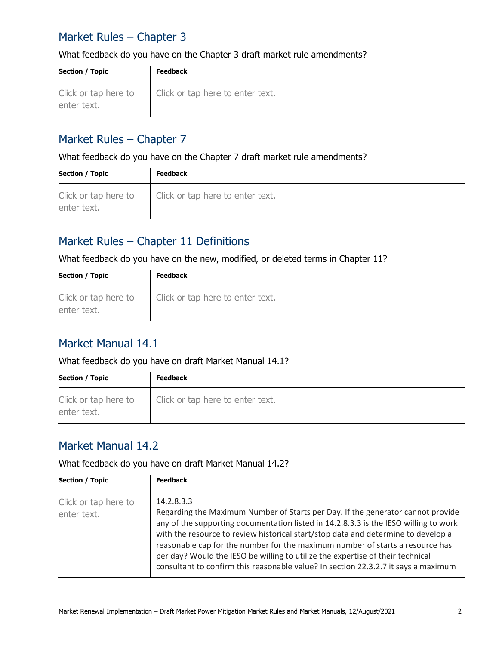## Market Rules – Chapter 3

#### What feedback do you have on the Chapter 3 draft market rule amendments?

| <b>Section / Topic</b>              | <b>Feedback</b>                  |
|-------------------------------------|----------------------------------|
| Click or tap here to<br>enter text. | Click or tap here to enter text. |

#### Market Rules – Chapter 7

What feedback do you have on the Chapter 7 draft market rule amendments?

| <b>Section / Topic</b>              | <b>Feedback</b>                  |
|-------------------------------------|----------------------------------|
| Click or tap here to<br>enter text. | Click or tap here to enter text. |

## Market Rules – Chapter 11 Definitions

What feedback do you have on the new, modified, or deleted terms in Chapter 11?

| Section / Topic                     | <b>Feedback</b>                  |
|-------------------------------------|----------------------------------|
| Click or tap here to<br>enter text. | Click or tap here to enter text. |

## Market Manual 14.1

#### What feedback do you have on draft Market Manual 14.1?

| <b>Section / Topic</b>              | <b>Feedback</b>                  |
|-------------------------------------|----------------------------------|
| Click or tap here to<br>enter text. | Click or tap here to enter text. |

#### Market Manual 14.2

What feedback do you have on draft Market Manual 14.2?

| <b>Section / Topic</b>              | <b>Feedback</b>                                                                                                                                                                                                                                                                                                                                                                                                                                                                                                                     |
|-------------------------------------|-------------------------------------------------------------------------------------------------------------------------------------------------------------------------------------------------------------------------------------------------------------------------------------------------------------------------------------------------------------------------------------------------------------------------------------------------------------------------------------------------------------------------------------|
| Click or tap here to<br>enter text. | 14.2.8.3.3<br>Regarding the Maximum Number of Starts per Day. If the generator cannot provide<br>any of the supporting documentation listed in 14.2.8.3.3 is the IESO willing to work<br>with the resource to review historical start/stop data and determine to develop a<br>reasonable cap for the number for the maximum number of starts a resource has<br>per day? Would the IESO be willing to utilize the expertise of their technical<br>consultant to confirm this reasonable value? In section 22.3.2.7 it says a maximum |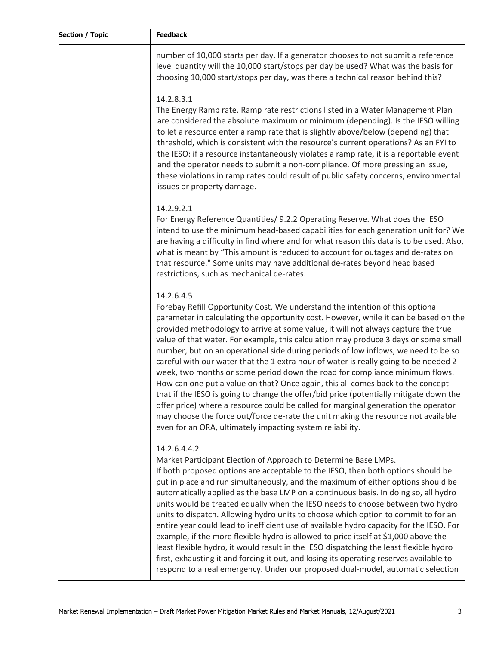number of 10,000 starts per day. If a generator chooses to not submit a reference level quantity will the 10,000 start/stops per day be used? What was the basis for choosing 10,000 start/stops per day, was there a technical reason behind this?

#### 14.2.8.3.1

The Energy Ramp rate. Ramp rate restrictions listed in a Water Management Plan are considered the absolute maximum or minimum (depending). Is the IESO willing to let a resource enter a ramp rate that is slightly above/below (depending) that threshold, which is consistent with the resource's current operations? As an FYI to the IESO: if a resource instantaneously violates a ramp rate, it is a reportable event and the operator needs to submit a non-compliance. Of more pressing an issue, these violations in ramp rates could result of public safety concerns, environmental issues or property damage.

#### 14.2.9.2.1

For Energy Reference Quantities/ 9.2.2 Operating Reserve. What does the IESO intend to use the minimum head-based capabilities for each generation unit for? We are having a difficulty in find where and for what reason this data is to be used. Also, what is meant by "This amount is reduced to account for outages and de-rates on that resource." Some units may have additional de-rates beyond head based restrictions, such as mechanical de-rates.

#### 14.2.6.4.5

Forebay Refill Opportunity Cost. We understand the intention of this optional parameter in calculating the opportunity cost. However, while it can be based on the provided methodology to arrive at some value, it will not always capture the true value of that water. For example, this calculation may produce 3 days or some small number, but on an operational side during periods of low inflows, we need to be so careful with our water that the 1 extra hour of water is really going to be needed 2 week, two months or some period down the road for compliance minimum flows. How can one put a value on that? Once again, this all comes back to the concept that if the IESO is going to change the offer/bid price (potentially mitigate down the offer price) where a resource could be called for marginal generation the operator may choose the force out/force de-rate the unit making the resource not available even for an ORA, ultimately impacting system reliability.

#### 14.2.6.4.4.2

Market Participant Election of Approach to Determine Base LMPs.

If both proposed options are acceptable to the IESO, then both options should be put in place and run simultaneously, and the maximum of either options should be automatically applied as the base LMP on a continuous basis. In doing so, all hydro units would be treated equally when the IESO needs to choose between two hydro units to dispatch. Allowing hydro units to choose which option to commit to for an entire year could lead to inefficient use of available hydro capacity for the IESO. For example, if the more flexible hydro is allowed to price itself at \$1,000 above the least flexible hydro, it would result in the IESO dispatching the least flexible hydro first, exhausting it and forcing it out, and losing its operating reserves available to respond to a real emergency. Under our proposed dual-model, automatic selection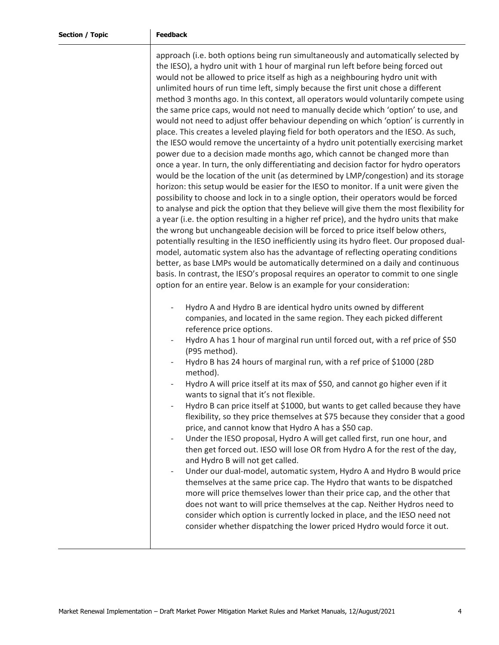approach (i.e. both options being run simultaneously and automatically selected by the IESO), a hydro unit with 1 hour of marginal run left before being forced out would not be allowed to price itself as high as a neighbouring hydro unit with unlimited hours of run time left, simply because the first unit chose a different method 3 months ago. In this context, all operators would voluntarily compete using the same price caps, would not need to manually decide which 'option' to use, and would not need to adjust offer behaviour depending on which 'option' is currently in place. This creates a leveled playing field for both operators and the IESO. As such, the IESO would remove the uncertainty of a hydro unit potentially exercising market power due to a decision made months ago, which cannot be changed more than once a year. In turn, the only differentiating and decision factor for hydro operators would be the location of the unit (as determined by LMP/congestion) and its storage horizon: this setup would be easier for the IESO to monitor. If a unit were given the possibility to choose and lock in to a single option, their operators would be forced to analyse and pick the option that they believe will give them the most flexibility for a year (i.e. the option resulting in a higher ref price), and the hydro units that make the wrong but unchangeable decision will be forced to price itself below others, potentially resulting in the IESO inefficiently using its hydro fleet. Our proposed dualmodel, automatic system also has the advantage of reflecting operating conditions better, as base LMPs would be automatically determined on a daily and continuous basis. In contrast, the IESO's proposal requires an operator to commit to one single option for an entire year. Below is an example for your consideration:

- Hydro A and Hydro B are identical hydro units owned by different companies, and located in the same region. They each picked different reference price options.
- Hydro A has 1 hour of marginal run until forced out, with a ref price of \$50 (P95 method).
- Hydro B has 24 hours of marginal run, with a ref price of \$1000 (28D method).
- Hydro A will price itself at its max of \$50, and cannot go higher even if it wants to signal that it's not flexible.
- Hydro B can price itself at \$1000, but wants to get called because they have flexibility, so they price themselves at \$75 because they consider that a good price, and cannot know that Hydro A has a \$50 cap.
- Under the IESO proposal, Hydro A will get called first, run one hour, and then get forced out. IESO will lose OR from Hydro A for the rest of the day, and Hydro B will not get called.
- Under our dual-model, automatic system, Hydro A and Hydro B would price themselves at the same price cap. The Hydro that wants to be dispatched more will price themselves lower than their price cap, and the other that does not want to will price themselves at the cap. Neither Hydros need to consider which option is currently locked in place, and the IESO need not consider whether dispatching the lower priced Hydro would force it out.